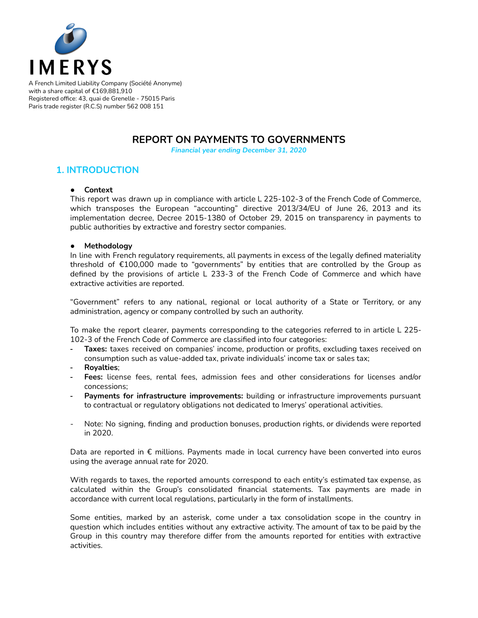

A French Limited Liability Company (Société Anonyme) with a share capital of €169,881,910 Registered office: 43, quai de Grenelle - 75015 Paris Paris trade register (R.C.S) number 562 008 151

## **REPORT ON PAYMENTS TO GOVERNMENTS**

*Financial year ending December 31, 2020*

### **1. INTRODUCTION**

#### **● Context**

This report was drawn up in compliance with article L 225-102-3 of the French Code of Commerce, which transposes the European "accounting" directive 2013/34/EU of June 26, 2013 and its implementation decree, Decree 2015-1380 of October 29, 2015 on transparency in payments to public authorities by extractive and forestry sector companies.

#### **● Methodology**

In line with French regulatory requirements, all payments in excess of the legally defined materiality threshold of €100,000 made to "governments" by entities that are controlled by the Group as defined by the provisions of article L 233-3 of the French Code of Commerce and which have extractive activities are reported.

"Government" refers to any national, regional or local authority of a State or Territory, or any administration, agency or company controlled by such an authority.

To make the report clearer, payments corresponding to the categories referred to in article L 225- 102-3 of the French Code of Commerce are classified into four categories:

- **Taxes:** taxes received on companies' income, production or profits, excluding taxes received on consumption such as value-added tax, private individuals' income tax or sales tax;
- **Royalties**;
- **Fees:** license fees, rental fees, admission fees and other considerations for licenses and/or concessions;
- **Payments for infrastructure improvements:** building or infrastructure improvements pursuant to contractual or regulatory obligations not dedicated to Imerys' operational activities.
- Note: No signing, finding and production bonuses, production rights, or dividends were reported in 2020.

Data are reported in  $\epsilon$  millions. Payments made in local currency have been converted into euros using the average annual rate for 2020.

With regards to taxes, the reported amounts correspond to each entity's estimated tax expense, as calculated within the Group's consolidated financial statements. Tax payments are made in accordance with current local regulations, particularly in the form of installments.

Some entities, marked by an asterisk, come under a tax consolidation scope in the country in question which includes entities without any extractive activity. The amount of tax to be paid by the Group in this country may therefore differ from the amounts reported for entities with extractive activities.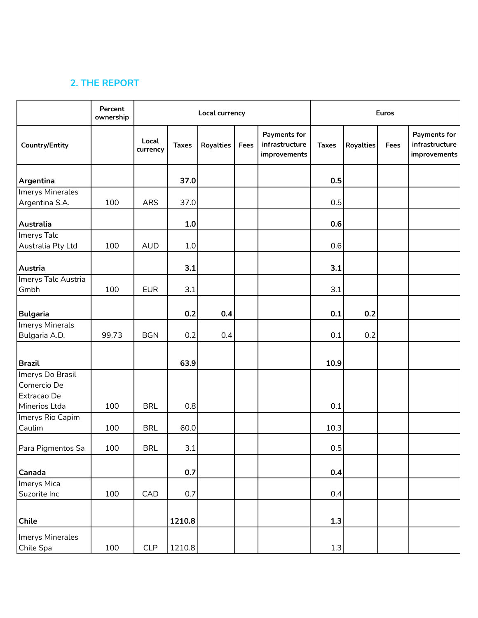# **2. THE REPORT**

|                                                                 | Percent<br>ownership | Local currency    |              |                  |      |                                                       | Euros        |                  |      |                                                       |
|-----------------------------------------------------------------|----------------------|-------------------|--------------|------------------|------|-------------------------------------------------------|--------------|------------------|------|-------------------------------------------------------|
| <b>Country/Entity</b>                                           |                      | Local<br>currency | <b>Taxes</b> | <b>Royalties</b> | Fees | <b>Payments for</b><br>infrastructure<br>improvements | <b>Taxes</b> | <b>Royalties</b> | Fees | <b>Payments for</b><br>infrastructure<br>improvements |
| <b>Argentina</b>                                                |                      |                   | 37.0         |                  |      |                                                       | 0.5          |                  |      |                                                       |
| Imerys Minerales                                                |                      |                   |              |                  |      |                                                       |              |                  |      |                                                       |
| Argentina S.A.                                                  | 100                  | <b>ARS</b>        | 37.0         |                  |      |                                                       | 0.5          |                  |      |                                                       |
|                                                                 |                      |                   |              |                  |      |                                                       |              |                  |      |                                                       |
| Australia                                                       |                      |                   | 1.0          |                  |      |                                                       | 0.6          |                  |      |                                                       |
| Imerys Talc                                                     |                      |                   |              |                  |      |                                                       |              |                  |      |                                                       |
| Australia Pty Ltd                                               | 100                  | <b>AUD</b>        | 1.0          |                  |      |                                                       | 0.6          |                  |      |                                                       |
| Austria                                                         |                      |                   | 3.1          |                  |      |                                                       | 3.1          |                  |      |                                                       |
| Imerys Talc Austria                                             |                      |                   |              |                  |      |                                                       |              |                  |      |                                                       |
| Gmbh                                                            | 100                  | <b>EUR</b>        | 3.1          |                  |      |                                                       | 3.1          |                  |      |                                                       |
| <b>Bulgaria</b>                                                 |                      |                   | 0.2          | 0.4              |      |                                                       | 0.1          | 0.2              |      |                                                       |
| Imerys Minerals                                                 |                      |                   |              |                  |      |                                                       |              |                  |      |                                                       |
| Bulgaria A.D.                                                   | 99.73                | <b>BGN</b>        | 0.2          | 0.4              |      |                                                       | 0.1          | 0.2              |      |                                                       |
| <b>Brazil</b>                                                   |                      |                   | 63.9         |                  |      |                                                       | 10.9         |                  |      |                                                       |
| Imerys Do Brasil<br>Comercio De<br>Extracao De<br>Minerios Ltda | 100                  | <b>BRL</b>        | 0.8          |                  |      |                                                       | 0.1          |                  |      |                                                       |
| Imerys Rio Capim                                                |                      |                   |              |                  |      |                                                       |              |                  |      |                                                       |
| Caulim                                                          | 100                  | <b>BRL</b>        | 60.0         |                  |      |                                                       | 10.3         |                  |      |                                                       |
| Para Pigmentos Sa                                               | 100                  | <b>BRL</b>        | 3.1          |                  |      |                                                       | 0.5          |                  |      |                                                       |
| Canada                                                          |                      |                   | 0.7          |                  |      |                                                       | 0.4          |                  |      |                                                       |
| Imerys Mica                                                     |                      |                   |              |                  |      |                                                       |              |                  |      |                                                       |
| Suzorite Inc                                                    | 100                  | CAD               | 0.7          |                  |      |                                                       | 0.4          |                  |      |                                                       |
| $ $ Chile                                                       |                      |                   | 1210.8       |                  |      |                                                       | 1.3          |                  |      |                                                       |
| Imerys Minerales<br>Chile Spa                                   | 100                  | CLP               | 1210.8       |                  |      |                                                       | $1.3\,$      |                  |      |                                                       |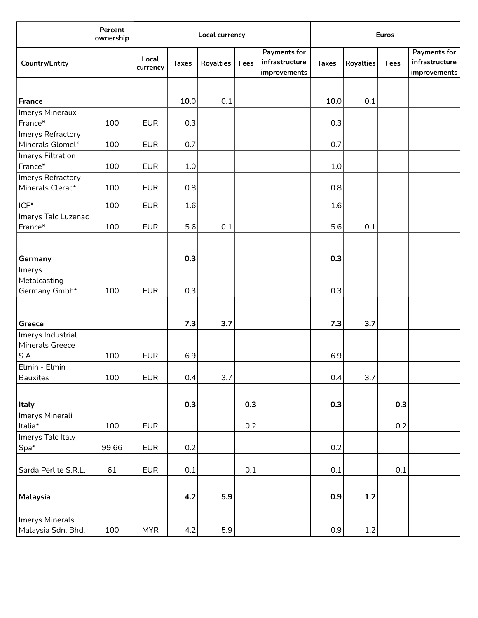|                                              | Percent<br>ownership | Local currency    |              |                  |      |                                                       | <b>Euros</b> |                  |      |                                                |
|----------------------------------------------|----------------------|-------------------|--------------|------------------|------|-------------------------------------------------------|--------------|------------------|------|------------------------------------------------|
| <b>Country/Entity</b>                        |                      | Local<br>currency | <b>Taxes</b> | <b>Royalties</b> | Fees | <b>Payments for</b><br>infrastructure<br>improvements | <b>Taxes</b> | <b>Royalties</b> | Fees | Payments for<br>infrastructure<br>improvements |
|                                              |                      |                   |              |                  |      |                                                       |              |                  |      |                                                |
| France                                       |                      |                   | 10.0         | 0.1              |      |                                                       | 10.0         | 0.1              |      |                                                |
| Imerys Mineraux                              |                      |                   |              |                  |      |                                                       |              |                  |      |                                                |
| France*                                      | 100                  | <b>EUR</b>        | 0.3          |                  |      |                                                       | 0.3          |                  |      |                                                |
| Imerys Refractory                            |                      |                   |              |                  |      |                                                       |              |                  |      |                                                |
| Minerals Glomel*                             | 100                  | <b>EUR</b>        | 0.7          |                  |      |                                                       | 0.7          |                  |      |                                                |
| Imerys Filtration                            |                      |                   |              |                  |      |                                                       |              |                  |      |                                                |
| France*                                      | 100                  | <b>EUR</b>        | 1.0          |                  |      |                                                       | $1.0$        |                  |      |                                                |
| Imerys Refractory                            |                      |                   |              |                  |      |                                                       |              |                  |      |                                                |
| Minerals Clerac*                             | 100                  | <b>EUR</b>        | 0.8          |                  |      |                                                       | 0.8          |                  |      |                                                |
| ICF*                                         | 100                  | <b>EUR</b>        | 1.6          |                  |      |                                                       | 1.6          |                  |      |                                                |
| Imerys Talc Luzenac                          |                      |                   |              |                  |      |                                                       |              |                  |      |                                                |
| France*                                      | 100                  | <b>EUR</b>        | 5.6          | 0.1              |      |                                                       | 5.6          | 0.1              |      |                                                |
| <b>Germany</b><br>Imerys                     |                      |                   | 0.3          |                  |      |                                                       | 0.3          |                  |      |                                                |
| Metalcasting<br>Germany Gmbh*                | 100                  | <b>EUR</b>        | 0.3          |                  |      |                                                       | 0.3          |                  |      |                                                |
| Greece                                       |                      |                   | 7.3          | 3.7              |      |                                                       | 7.3          | 3.7              |      |                                                |
| Imerys Industrial<br>Minerals Greece<br>S.A. | 100                  | <b>EUR</b>        | 6.9          |                  |      |                                                       | 6.9          |                  |      |                                                |
| Elmin - Elmin<br><b>Bauxites</b>             | 100                  | <b>EUR</b>        | 0.4          | 3.7              |      |                                                       | 0.4          | 3.7              |      |                                                |
| <b>Italy</b>                                 |                      |                   | 0.3          |                  | 0.3  |                                                       | 0.3          |                  | 0.3  |                                                |
| Imerys Minerali<br>Italia*                   | 100                  | <b>EUR</b>        |              |                  | 0.2  |                                                       |              |                  | 0.2  |                                                |
| Imerys Talc Italy<br>Spa*                    | 99.66                | <b>EUR</b>        | 0.2          |                  |      |                                                       | 0.2          |                  |      |                                                |
| Sarda Perlite S.R.L.                         | 61                   | <b>EUR</b>        | 0.1          |                  | 0.1  |                                                       | 0.1          |                  | 0.1  |                                                |
| Malaysia                                     |                      |                   | 4.2          | 5.9              |      |                                                       | 0.9          | 1.2              |      |                                                |
| Imerys Minerals<br>Malaysia Sdn. Bhd.        | 100                  | <b>MYR</b>        | $4.2\,$      | 5.9              |      |                                                       | 0.9          | $1.2\,$          |      |                                                |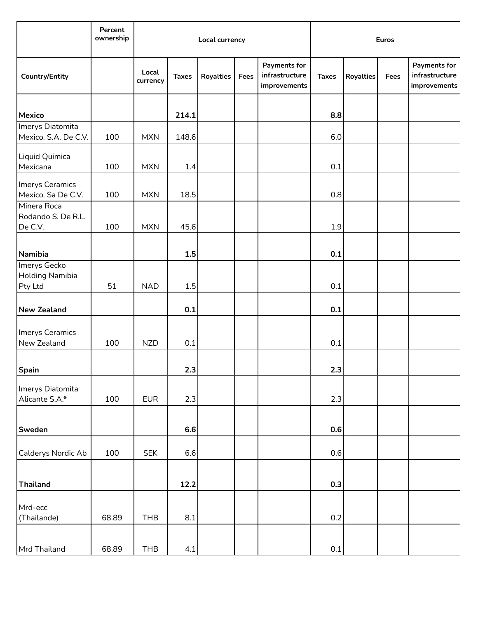|                                       | Percent<br>ownership | Local currency    |              |                  |      |                                                       | <b>Euros</b> |                  |      |                                                       |
|---------------------------------------|----------------------|-------------------|--------------|------------------|------|-------------------------------------------------------|--------------|------------------|------|-------------------------------------------------------|
| <b>Country/Entity</b>                 |                      | Local<br>currency | <b>Taxes</b> | <b>Royalties</b> | Fees | <b>Payments for</b><br>infrastructure<br>improvements | <b>Taxes</b> | <b>Royalties</b> | Fees | <b>Payments for</b><br>infrastructure<br>improvements |
|                                       |                      |                   |              |                  |      |                                                       |              |                  |      |                                                       |
| <b>Mexico</b>                         |                      |                   | 214.1        |                  |      |                                                       | 8.8          |                  |      |                                                       |
| Imerys Diatomita                      |                      |                   |              |                  |      |                                                       |              |                  |      |                                                       |
| Mexico. S.A. De C.V.                  | 100                  | <b>MXN</b>        | 148.6        |                  |      |                                                       | 6.0          |                  |      |                                                       |
| Liquid Quimica<br>Mexicana            | 100                  | <b>MXN</b>        | 1.4          |                  |      |                                                       | 0.1          |                  |      |                                                       |
|                                       |                      |                   |              |                  |      |                                                       |              |                  |      |                                                       |
| Imerys Ceramics<br>Mexico. Sa De C.V. | 100                  | <b>MXN</b>        | 18.5         |                  |      |                                                       | 0.8          |                  |      |                                                       |
| Minera Roca                           |                      |                   |              |                  |      |                                                       |              |                  |      |                                                       |
| Rodando S. De R.L.                    |                      |                   |              |                  |      |                                                       |              |                  |      |                                                       |
| De C.V.                               | 100                  | <b>MXN</b>        | 45.6         |                  |      |                                                       | 1.9          |                  |      |                                                       |
|                                       |                      |                   |              |                  |      |                                                       |              |                  |      |                                                       |
|                                       |                      |                   |              |                  |      |                                                       |              |                  |      |                                                       |
| Namibia                               |                      |                   | 1.5          |                  |      |                                                       | 0.1          |                  |      |                                                       |
| Imerys Gecko                          |                      |                   |              |                  |      |                                                       |              |                  |      |                                                       |
| <b>Holding Namibia</b>                |                      |                   |              |                  |      |                                                       |              |                  |      |                                                       |
| Pty Ltd                               | 51                   | <b>NAD</b>        | 1.5          |                  |      |                                                       | 0.1          |                  |      |                                                       |
| <b>New Zealand</b>                    |                      |                   | 0.1          |                  |      |                                                       | 0.1          |                  |      |                                                       |
| Imerys Ceramics                       |                      |                   |              |                  |      |                                                       |              |                  |      |                                                       |
| New Zealand                           | 100                  | <b>NZD</b>        | 0.1          |                  |      |                                                       | 0.1          |                  |      |                                                       |
|                                       |                      |                   |              |                  |      |                                                       |              |                  |      |                                                       |
|                                       |                      |                   |              |                  |      |                                                       |              |                  |      |                                                       |
| <b>Spain</b>                          |                      |                   | 2.3          |                  |      |                                                       | 2.3          |                  |      |                                                       |
| Imerys Diatomita                      |                      |                   |              |                  |      |                                                       |              |                  |      |                                                       |
| Alicante S.A.*                        | 100                  | <b>EUR</b>        | 2.3          |                  |      |                                                       | 2.3          |                  |      |                                                       |
|                                       |                      |                   |              |                  |      |                                                       |              |                  |      |                                                       |
|                                       |                      |                   |              |                  |      |                                                       |              |                  |      |                                                       |
| Sweden                                |                      |                   | 6.6          |                  |      |                                                       | 0.6          |                  |      |                                                       |
|                                       |                      |                   |              |                  |      |                                                       |              |                  |      |                                                       |
| Calderys Nordic Ab                    | 100                  | <b>SEK</b>        | 6.6          |                  |      |                                                       | 0.6          |                  |      |                                                       |
|                                       |                      |                   |              |                  |      |                                                       |              |                  |      |                                                       |
|                                       |                      |                   |              |                  |      |                                                       |              |                  |      |                                                       |
| <b>Thailand</b>                       |                      |                   | 12.2         |                  |      |                                                       | 0.3          |                  |      |                                                       |
|                                       |                      |                   |              |                  |      |                                                       |              |                  |      |                                                       |
| Mrd-ecc                               |                      |                   |              |                  |      |                                                       |              |                  |      |                                                       |
| (Thailande)                           | 68.89                | <b>THB</b>        | 8.1          |                  |      |                                                       | 0.2          |                  |      |                                                       |
|                                       |                      |                   |              |                  |      |                                                       |              |                  |      |                                                       |
|                                       |                      |                   |              |                  |      |                                                       |              |                  |      |                                                       |
| Mrd Thailand                          | 68.89                | <b>THB</b>        | 4.1          |                  |      |                                                       | 0.1          |                  |      |                                                       |